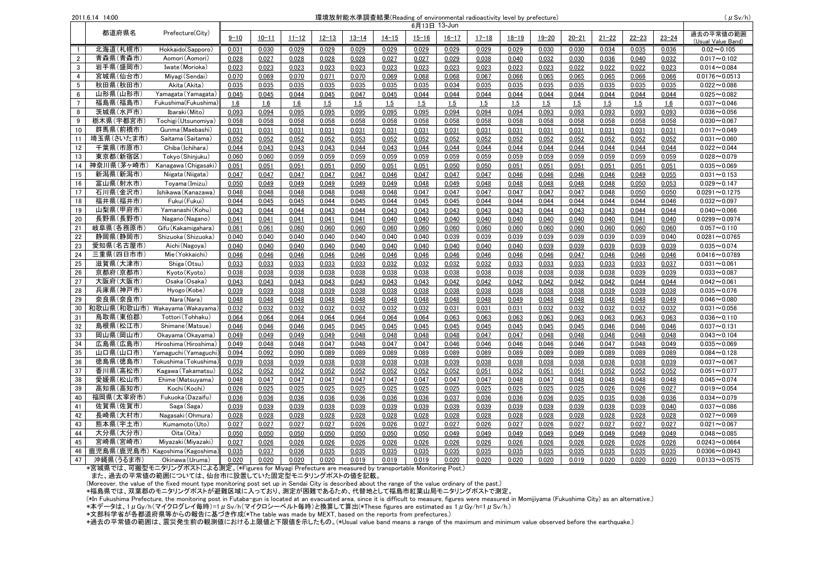| 環境放射能水準調査結果(Reading of environmental radioactivity level by prefecture)<br>2011.6.14 14:00 |            |                                 |              |           |           |           |           | $(\mu Sv/h)$ |           |           |           |           |           |           |           |           |           |                                 |
|--------------------------------------------------------------------------------------------|------------|---------------------------------|--------------|-----------|-----------|-----------|-----------|--------------|-----------|-----------|-----------|-----------|-----------|-----------|-----------|-----------|-----------|---------------------------------|
|                                                                                            |            |                                 | 6月13日 13-Jun |           |           |           |           |              |           |           |           |           |           |           |           |           |           |                                 |
|                                                                                            |            | 都道府県名<br>Prefecture(City)       | $9 - 10$     | $10 - 11$ | $11 - 12$ | $12 - 13$ | $13 - 14$ | $14 - 15$    | $15 - 16$ | $16 - 17$ | $17 - 18$ | $18 - 19$ | $19 - 20$ | $20 - 21$ | $21 - 22$ | $22 - 23$ | $23 - 24$ | 過去の平常値の範囲<br>(Usual Value Band) |
| $\overline{1}$                                                                             | 北海道(札幌市)   | Hokkaido(Sapporo)               | 0.031        | 0.030     | 0.029     | 0.029     | 0.029     | 0.029        | 0.029     | 0.029     | 0.029     | 0.029     | 0.030     | 0.030     | 0.034     | 0.035     | 0.036     | $0.02 - 0.105$                  |
| $\overline{2}$                                                                             | 青森県(青森市)   | Aomori (Aomori)                 | 0.028        | 0.027     | 0.028     | 0.028     | 0.028     | 0.027        | 0.027     | 0.029     | 0.038     | 0.040     | 0.032     | 0.030     | 0.036     | 0.040     | 0.032     | $0.017 - 0.102$                 |
| $\mathbf{3}$                                                                               | 岩手県(盛岡市)   | Iwate (Morioka)                 | 0.023        | 0.023     | 0.023     | 0.023     | 0.023     | 0.023        | 0.023     | 0.023     | 0.023     | 0.023     | 0.023     | 0.022     | 0.022     | 0.022     | 0.023     | $0.014 - 0.084$                 |
| $\overline{4}$                                                                             | 宮城県(仙台市)   | Miyagi (Sendai)                 | 0.070        | 0.069     | 0.070     | 0.071     | 0.070     | 0.069        | 0.068     | 0.068     | 0.067     | 0.066     | 0.065     | 0.065     | 0.065     | 0.066     | 0.066     | $0.0176 - 0.0513$               |
| 5                                                                                          | 秋田県(秋田市)   | Akita (Akita)                   | 0.035        | 0.035     | 0.035     | 0.035     | 0.035     | 0.035        | 0.035     | 0.034     | 0.035     | 0.035     | 0.035     | 0.035     | 0.035     | 0.035     | 0.035     | $0.022 - 0.086$                 |
| 6                                                                                          | 山形県(山形市)   | Yamagata (Yamagata)             | 0.045        | 0.045     | 0.044     | 0.045     | 0.047     | 0.045        | 0.044     | 0.044     | 0.044     | 0.044     | 0.044     | 0.044     | 0.044     | 0.044     | 0.044     | $0.025 - 0.082$                 |
| $\overline{7}$                                                                             | 福島県(福島市)   | Fukushima(Fukushima)            | 1.6          | 1.6       | 1.6       | 1.5       | 1.5       | 1.5          | 1.5       | 1.5       | 1.5       | 1.5       | 1.5       | 1.5       | 1.5       | 1.5       | 1.6       | $0.037 - 0.046$                 |
| 8                                                                                          | 茨城県(水戸市)   | Ibaraki (Mito)                  | 0.093        | 0.094     | 0.095     | 0.095     | 0.095     | 0.095        | 0.095     | 0.094     | 0.094     | 0.094     | 0.093     | 0.093     | 0.093     | 0.093     | 0.093     | $0.036 - 0.056$                 |
| 9                                                                                          | 栃木県(宇都宮市)  | Tochigi (Utsunomiya)            | 0.058        | 0.058     | 0.058     | 0.058     | 0.058     | 0.058        | 0.058     | 0.058     | 0.058     | 0.058     | 0.058     | 0.058     | 0.058     | 0.058     | 0.058     | $0.030 - 0.067$                 |
| 10                                                                                         | 群馬県(前橋市)   | Gunma (Maebashi)                | 0.031        | 0.031     | 0.031     | 0.031     | 0.031     | 0.031        | 0.031     | 0.031     | 0.031     | 0.031     | 0.031     | 0.031     | 0.031     | 0.031     | 0.031     | $0.017 - 0.049$                 |
| 11                                                                                         | 埼玉県(さいたま市) | Saitama (Saitama)               | 0.052        | 0.052     | 0.052     | 0.052     | 0.053     | 0.052        | 0.052     | 0.052     | 0.052     | 0.052     | 0.052     | 0.052     | 0.052     | 0.052     | 0.052     | $0.031 - 0.060$                 |
| 12                                                                                         | 千葉県(市原市)   | Chiba (Ichihara)                | 0.044        | 0.043     | 0.043     | 0.043     | 0.044     | 0.043        | 0.044     | 0.044     | 0.044     | 0.044     | 0.044     | 0.044     | 0.044     | 0.044     | 0.044     | $0.022 - 0.044$                 |
| 13                                                                                         | 東京都(新宿区)   | Tokyo (Shinjuku)                | 0.060        | 0.060     | 0.059     | 0.059     | 0.059     | 0.059        | 0.059     | 0.059     | 0.059     | 0.059     | 0.059     | 0.059     | 0.059     | 0.059     | 0.059     | $0.028 - 0.079$                 |
| 14                                                                                         | 神奈川県(茅ヶ崎市) | Kanagawa (Chigasaki)            | 0.051        | 0.051     | 0.051     | 0.051     | 0.050     | 0.051        | 0.051     | 0.050     | 0.050     | 0.051     | 0.051     | 0.051     | 0.051     | 0.051     | 0.051     | $0.035 - 0.069$                 |
| 15                                                                                         | 新潟県(新潟市)   | Niigata (Niigata)               | 0.047        | 0.047     | 0.047     | 0.047     | 0.047     | 0.046        | 0.047     | 0.047     | 0.047     | 0.046     | 0.046     | 0.046     | 0.046     | 0.049     | 0.055     | $0.031 - 0.153$                 |
| 16                                                                                         | 富山県(射水市)   | Toyama (Imizu)                  | 0.050        | 0.049     | 0.049     | 0.049     | 0.049     | 0.049        | 0.048     | 0.049     | 0.048     | 0.048     | 0.048     | 0.048     | 0.048     | 0.050     | 0.053     | $0.029 - 0.147$                 |
| 17                                                                                         | 石川県(金沢市)   | Ishikawa (Kanazawa)             | 0.048        | 0.048     | 0.048     | 0.048     | 0.048     | 0.048        | 0.047     | 0.047     | 0.047     | 0.047     | 0.047     | 0.047     | 0.048     | 0.050     | 0.050     | $0.0291 - 0.1275$               |
| 18                                                                                         | 福井県(福井市)   | Fukui (Fukui)                   | 0.044        | 0.045     | 0.045     | 0.044     | 0.045     | 0.044        | 0.045     | 0.045     | 0.044     | 0.044     | 0.044     | 0.044     | 0.044     | 0.044     | 0.046     | $0.032 - 0.097$                 |
| 19                                                                                         | 山梨県(甲府市)   | Yamanashi (Kohu)                | 0.043        | 0.044     | 0.044     | 0.043     | 0.044     | 0.043        | 0.043     | 0.043     | 0.043     | 0.043     | 0.044     | 0.043     | 0.043     | 0.044     | 0.044     | $0.040 - 0.066$                 |
| 20                                                                                         | 長野県(長野市)   | Nagano (Nagano)                 | 0.041        | 0.041     | 0.041     | 0.041     | 0.041     | 0.040        | 0.040     | 0.040     | 0.040     | 0.040     | 0.040     | 0.040     | 0.040     | 0.041     | 0.040     | $0.0299 - 0.0974$               |
| 21                                                                                         | 岐阜県(各務原市)  | Gifu (Kakamigahara)             | 0.061        | 0.061     | 0.060     | 0.060     | 0.060     | 0.060        | 0.060     | 0.060     | 0.060     | 0.060     | 0.060     | 0.060     | 0.060     | 0.060     | 0.060     | $0.057 - 0.110$                 |
| 22                                                                                         | 静岡県(静岡市)   | Shizuoka (Shizuoka)             | 0.040        | 0.040     | 0.040     | 0.040     | 0.040     | 0.040        | 0.040     | 0.039     | 0.039     | 0.039     | 0.039     | 0.039     | 0.039     | 0.039     | 0.040     | $0.0281 - 0.0765$               |
| 23                                                                                         | 愛知県(名古屋市)  | Aichi (Nagoya)                  | 0.040        | 0.040     | 0.040     | 0.040     | 0.040     | 0.040        | 0.040     | 0.040     | 0.040     | 0.040     | 0.039     | 0.039     | 0.039     | 0.039     | 0.039     | $0.035 - 0.074$                 |
| 24                                                                                         | 三重県(四日市市)  | Mie (Yokkaichi)                 | 0.046        | 0.046     | 0.046     | 0.046     | 0.046     | 0.046        | 0.046     | 0.046     | 0.046     | 0.046     | 0.046     | 0.047     | 0.046     | 0.046     | 0.046     | $0.0416 - 0.0789$               |
| 25                                                                                         | 滋賀県(大津市)   | Shiga (Otsu)                    | 0.033        | 0.033     | 0.033     | 0.033     | 0.033     | 0.032        | 0.032     | 0.032     | 0.032     | 0.033     | 0.033     | 0.033     | 0.033     | 0.033     | 0.037     | $0.031 - 0.061$                 |
| 26                                                                                         | 京都府(京都市)   | Kyoto (Kyoto)                   | 0.038        | 0.038     | 0.038     | 0.038     | 0.038     | 0.038        | 0.038     | 0.038     | 0.038     | 0.038     | 0.038     | 0.038     | 0.038     | 0.039     | 0.039     | $0.033 - 0.087$                 |
| 27                                                                                         | 大阪府(大阪市)   | Osaka (Osaka)                   | 0.043        | 0.043     | 0.043     | 0.043     | 0.043     | 0.043        | 0.043     | 0.042     | 0.042     | 0.042     | 0.042     | 0.042     | 0.042     | 0.044     | 0.044     | $0.042 - 0.061$                 |
| 28                                                                                         | 兵庫県(神戸市)   | Hyogo (Kobe)                    | 0.039        | 0.039     | 0.038     | 0.039     | 0.038     | 0.038        | 0.038     | 0.038     | 0.038     | 0.038     | 0.038     | 0.038     | 0.039     | 0.039     | 0.038     | $0.035 - 0.076$                 |
| 29                                                                                         | 奈良県(奈良市)   | Nara (Nara)                     | 0.048        | 0.048     | 0.048     | 0.048     | 0.048     | 0.048        | 0.048     | 0.048     | 0.048     | 0.049     | 0.048     | 0.048     | 0.048     | 0.048     | 0.049     | $0.046 - 0.080$                 |
| 30                                                                                         |            | 和歌山県(和歌山市) Wakayama (Wakayama   | 0.032        | 0.032     | 0.032     | 0.032     | 0.032     | 0.032        | 0.032     | 0.031     | 0.031     | 0.031     | 0.032     | 0.032     | 0.032     | 0.032     | 0.032     | $0.031 - 0.056$                 |
| 31                                                                                         | 鳥取県(東伯郡)   | Tottori (Tohhaku)               | 0.064        | 0.064     | 0.064     | 0.064     | 0.064     | 0.064        | 0.064     | 0.063     | 0.063     | 0.063     | 0.063     | 0.063     | 0.063     | 0.063     | 0.063     | $0.036 - 0.110$                 |
| 32                                                                                         | 島根県(松江市)   | Shimane (Matsue)                | 0.046        | 0.046     | 0.046     | 0.045     | 0.045     | 0.045        | 0.045     | 0.045     | 0.045     | 0.045     | 0.045     | 0.045     | 0.046     | 0.046     | 0.046     | $0.037 - 0.131$                 |
| 33                                                                                         | 岡山県(岡山市)   | Okayama (Okayama)               | 0.049        | 0.049     | 0.049     | 0.049     | 0.048     | 0.048        | 0.048     | 0.048     | 0.047     | 0.047     | 0.048     | 0.048     | 0.048     | 0.048     | 0.048     | $0.043 - 0.104$                 |
| 34                                                                                         | 広島県(広島市)   | Hiroshima (Hiroshima)           | 0.049        | 0.048     | 0.048     | 0.047     | 0.048     | 0.047        | 0.047     | 0.046     | 0.046     | 0.046     | 0.046     | 0.046     | 0.047     | 0.048     | 0.049     | $0.035 - 0.069$                 |
| 35                                                                                         | 山口県(山口市)   | Yamaguchi (Yamaguchi            | 0.094        | 0.092     | 0.090     | 0.089     | 0.089     | 0.089        | 0.089     | 0.089     | 0.089     | 0.089     | 0.089     | 0.089     | 0.089     | 0.089     | 0.089     | $0.084 - 0.128$                 |
| 36                                                                                         | 徳島県(徳島市)   | Tokushima (Tokushima            | 0.039        | 0.038     | 0.039     | 0.038     | 0.038     | 0.038        | 0.038     | 0.039     | 0.038     | 0.038     | 0.038     | 0.038     | 0.038     | 0.038     | 0.039     | $0.037 - 0.067$                 |
| 37                                                                                         | 香川県(高松市)   | Kagawa (Takamatsu)              | 0.052        | 0.052     | 0.052     | 0.052     | 0.052     | 0.052        | 0.052     | 0.052     | 0.051     | 0.052     | 0.051     | 0.051     | 0.052     | 0.052     | 0.052     | $0.051 - 0.077$                 |
| 38                                                                                         | 愛媛県(松山市)   | Ehime (Matsuyama)               | 0.048        | 0.047     | 0.047     | 0.047     | 0.047     | 0.047        | 0.047     | 0.047     | 0.047     | 0.048     | 0.047     | 0.048     | 0.048     | 0.048     | 0.048     | $0.045 - 0.074$                 |
| 39                                                                                         | 高知県(高知市)   | Kochi (Kochi)                   | 0.026        | 0.025     | 0.025     | 0.025     | 0.025     | 0.025        | 0.025     | 0.025     | 0.025     | 0.025     | 0.025     | 0.025     | 0.026     | 0.026     | 0.027     | $0.019 - 0.054$                 |
| 40                                                                                         | 福岡県(太宰府市)  | Fukuoka (Dazaifu)               | 0.036        | 0.036     | 0.036     | 0.036     | 0.036     | 0.036        | 0.036     | 0.037     | 0.036     | 0.036     | 0.036     | 0.035     | 0.035     | 0.036     | 0.036     | $0.034 - 0.079$                 |
| 41                                                                                         | 佐賀県(佐賀市)   | Saga (Saga)                     | 0.039        | 0.039     | 0.039     | 0.039     | 0.039     | 0.039        | 0.039     | 0.039     | 0.039     | 0.039     | 0.039     | 0.039     | 0.039     | 0.039     | 0.040     | $0.037 - 0.086$                 |
| 42                                                                                         | 長崎県(大村市)   | Nagasaki (Ohmura)               | 0.028        | 0.028     | 0.028     | 0.028     | 0.028     | 0.028        | 0.028     | 0.028     | 0.028     | 0.028     | 0.028     | 0.028     | 0.028     | 0.028     | 0.028     | $0.027 - 0.069$                 |
| 43                                                                                         | 熊本県(宇土市)   | Kumamoto (Uto)                  | 0.027        | 0.027     | 0.027     | 0.027     | 0.026     | 0.026        | 0.027     | 0.027     | 0.026     | 0.027     | 0.026     | 0.027     | 0.027     | 0.027     | 0.027     | $0.021 - 0.067$                 |
| 44                                                                                         | 大分県(大分市)   | Oita (Oita)                     | 0.050        | 0.050     | 0.050     | 0.050     | 0.050     | 0.050        | 0.050     | 0.049     | 0.049     | 0.049     | 0.049     | 0.049     | 0.049     | 0.049     | 0.049     | $0.048 - 0.085$                 |
| 45                                                                                         | 宮崎県(宮崎市)   | Miyazaki (Miyazaki)             | 0.027        | 0.026     | 0.026     | 0.026     | 0.026     | 0.026        | 0.026     | 0.026     | 0.026     | 0.026     | 0.026     | 0.026     | 0.026     | 0.026     | 0.026     | $0.0243 - 0.0664$               |
| 46                                                                                         |            | 鹿児島県(鹿児島市) Kagoshima (Kagoshima | 0.035        | 0.037     | 0.036     | 0.035     | 0.035     | 0.035        | 0.035     | 0.035     | 0.035     | 0.035     | 0.035     | 0.035     | 0.035     | 0.035     | 0.035     | $0.0306 - 0.0943$               |
| 47                                                                                         | 沖縄県(うるま市)  | Okinawa (Uruma)                 | 0.020        | 0.020     | 0.020     | 0.020     | 0.019     | 0.019        | 0.019     | 0.020     | 0.020     | 0.020     | 0.020     | 0.019     | 0.020     | 0.020     | 0.020     | $0.0133 - 0.0575$               |

\*宮城県では、可搬型モニタリングポストによる測定。(\*Figures for Miyagi Prefecture are measured by transportable Monitoring Post.)

また、過去の平常値の範囲については、仙台市に設置していた固定型モニタリングポストの値を記載。

(Moreover, the value of the fixed mount type monitoring post set up in Sendai City is described about the range of the value ordinary of the past.)

\*福島県では、双葉郡のモニタリングポストが避難区域に入っており、測定が困難であるため、代替地として福島市紅葉山局モニタリングポストで測定。

(\*In Fukushima Prefecture, the monitoring post in Futaba-gun is located at an evacuated area, since it is difficult to measure, figures were measured in Momijiyama (Fukushima City) as an alternative.)

\*本データは、1μGy/h(マイクログレイ毎時)=1µSv/h(マイクロシーベルト毎時)と換算して算出(\*These figures are estimated as 1µGy/h=1µSv/h.)

\*文部科学省が各都道府県等からの報告に基づき作成(\*㼀he table was made by ME㼄㼀, based on the reports from prefectures.)

\*過去の平常値の範囲は、震災発生前の観測値における上限値と下限値を示したもの。(\*㼁sual value band means a range of the maximum and minimum value observed before the earthquake.)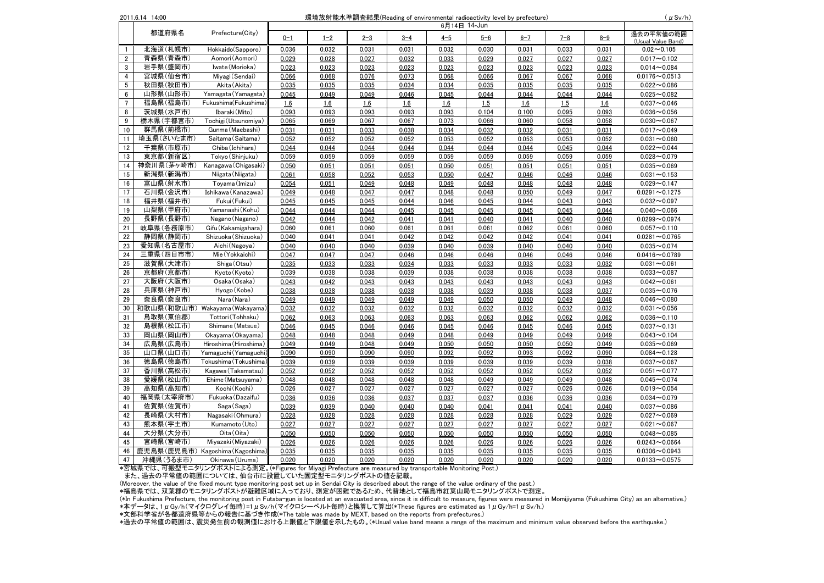| 2011.6.14 14:00<br>環境放射能水準調査結果(Reading of environmental radioactivity level by prefecture)<br>$(\mu$ Sv/h)<br>6月14日 14-Jun |                               |                                 |         |         |         |         |         |         |         |         |         |                                 |
|----------------------------------------------------------------------------------------------------------------------------|-------------------------------|---------------------------------|---------|---------|---------|---------|---------|---------|---------|---------|---------|---------------------------------|
|                                                                                                                            |                               |                                 |         |         |         |         |         |         |         |         |         |                                 |
|                                                                                                                            | 都道府県名                         | Prefecture(City)                | $0 - 1$ | $1 - 2$ | $2 - 3$ | $3 - 4$ | $4 - 5$ | $5 - 6$ | $6 - 7$ | $7 - 8$ | $8 - 9$ | 過去の平常値の範囲<br>(Usual Value Band) |
| $\mathbf{1}$                                                                                                               | 北海道(札幌市)                      | Hokkaido(Sapporo)               | 0.036   | 0.032   | 0.031   | 0.031   | 0.032   | 0.030   | 0.031   | 0.033   | 0.031   | $0.02 - 0.105$                  |
| $\overline{2}$                                                                                                             | 青森県(青森市)                      | Aomori (Aomori)                 | 0.029   | 0.028   | 0.027   | 0.032   | 0.033   | 0.029   | 0.027   | 0.027   | 0.027   | $0.017 - 0.102$                 |
| 3                                                                                                                          | 岩手県(盛岡市)                      | Iwate (Morioka)                 | 0.023   | 0.023   | 0.023   | 0.023   | 0.023   | 0.023   | 0.023   | 0.023   | 0.023   | $0.014 - 0.084$                 |
| $\overline{4}$                                                                                                             | 宮城県(仙台市)                      | Miyagi (Sendai)                 | 0.066   | 0.068   | 0.076   | 0.073   | 0.068   | 0.066   | 0.067   | 0.067   | 0.068   | $0.0176 - 0.0513$               |
| 5                                                                                                                          | 秋田県(秋田市)                      | Akita (Akita)                   | 0.035   | 0.035   | 0.035   | 0.034   | 0.034   | 0.035   | 0.035   | 0.035   | 0.035   | $0.022 - 0.086$                 |
| $6\phantom{a}$                                                                                                             | 山形県(山形市)                      | Yamagata (Yamagata)             | 0.045   | 0.049   | 0.049   | 0.046   | 0.045   | 0.044   | 0.044   | 0.044   | 0.044   | $0.025 - 0.082$                 |
| $\overline{7}$                                                                                                             | 福島県(福島市)                      | Fukushima(Fukushima)            | 1.6     | 1.6     | 1.6     | 1.6     | 1.6     | 1.5     | 1.6     | 1.5     | 1.6     | $0.037 - 0.046$                 |
| 8                                                                                                                          | 茨城県(水戸市)                      | Ibaraki (Mito)                  | 0.093   | 0.093   | 0.093   | 0.093   | 0.093   | 0.104   | 0.100   | 0.095   | 0.093   | $0.036 - 0.056$                 |
| 9                                                                                                                          | 栃木県(宇都宮市)                     | Tochigi (Utsunomiya)            | 0.065   | 0.069   | 0.067   | 0.067   | 0.073   | 0.066   | 0.060   | 0.058   | 0.058   | $0.030 - 0.067$                 |
| 10                                                                                                                         | 群馬県(前橋市)                      | Gunma (Maebashi)                | 0.031   | 0.031   | 0.033   | 0.038   | 0.034   | 0.032   | 0.032   | 0.031   | 0.031   | $0.017 - 0.049$                 |
| 11                                                                                                                         | 埼玉県(さいたま市)                    | Saitama (Saitama)               | 0.052   | 0.052   | 0.052   | 0.052   | 0.053   | 0.052   | 0.053   | 0.053   | 0.052   | $0.031 - 0.060$                 |
| 12                                                                                                                         | 千葉県(市原市)                      | Chiba (Ichihara)                | 0.044   | 0.044   | 0.044   | 0.044   | 0.044   | 0.044   | 0.044   | 0.045   | 0.044   | $0.022 - 0.044$                 |
| 13                                                                                                                         | 東京都(新宿区)                      | Tokyo (Shinjuku)                | 0.059   | 0.059   | 0.059   | 0.059   | 0.059   | 0.059   | 0.059   | 0.059   | 0.059   | $0.028 - 0.079$                 |
| 14                                                                                                                         | 神奈川県(茅ヶ崎市)                    | Kanagawa (Chigasaki)            | 0.050   | 0.051   | 0.051   | 0.051   | 0.050   | 0.051   | 0.051   | 0.051   | 0.051   | $0.035 - 0.069$                 |
| 15                                                                                                                         | 新潟県(新潟市)                      | Niigata (Niigata)               | 0.061   | 0.058   | 0.052   | 0.053   | 0.050   | 0.047   | 0.046   | 0.046   | 0.046   | $0.031 - 0.153$                 |
| 16                                                                                                                         | 富山県(射水市)                      | Toyama (Imizu)                  | 0.054   | 0.051   | 0.049   | 0.048   | 0.049   | 0.048   | 0.048   | 0.048   | 0.048   | $0.029 - 0.147$                 |
| 17                                                                                                                         | 石川県(金沢市)                      | Ishikawa (Kanazawa)             | 0.049   | 0.048   | 0.047   | 0.047   | 0.048   | 0.048   | 0.050   | 0.049   | 0.047   | $0.0291 - 0.1275$               |
| 18                                                                                                                         | 福井県(福井市)                      | Fukui (Fukui)                   | 0.045   | 0.045   | 0.045   | 0.044   | 0.046   | 0.045   | 0.044   | 0.043   | 0.043   | $0.032 - 0.097$                 |
| 19                                                                                                                         | 山梨県(甲府市)                      | Yamanashi (Kohu)                | 0.044   | 0.044   | 0.044   | 0.045   | 0.045   | 0.045   | 0.045   | 0.045   | 0.044   | $0.040 - 0.066$                 |
| 20                                                                                                                         | 長野県(長野市)                      | Nagano (Nagano)                 | 0.042   | 0.044   | 0.042   | 0.041   | 0.041   | 0.040   | 0.041   | 0.040   | 0.040   | $0.0299 - 0.0974$               |
| 21                                                                                                                         | 岐阜県(各務原市)                     | Gifu (Kakamigahara)             | 0.060   | 0.061   | 0.060   | 0.061   | 0.061   | 0.061   | 0.062   | 0.061   | 0.060   | $0.057 - 0.110$                 |
| 22                                                                                                                         | 静岡県(静岡市)                      | Shizuoka (Shizuoka)             | 0.040   | 0.041   | 0.041   | 0.042   | 0.042   | 0.042   | 0.042   | 0.041   | 0.041   | $0.0281 - 0.0765$               |
| 23                                                                                                                         | 愛知県(名古屋市)                     | Aichi (Nagoya)                  | 0.040   | 0.040   | 0.040   | 0.039   | 0.040   | 0.039   | 0.040   | 0.040   | 0.040   | $0.035 - 0.074$                 |
| 24                                                                                                                         | 三重県(四日市市)                     | Mie (Yokkaichi)                 | 0.047   | 0.047   | 0.047   | 0.046   | 0.046   | 0.046   | 0.046   | 0.046   | 0.046   | $0.0416 - 0.0789$               |
| 25                                                                                                                         | 滋賀県(大津市)                      | Shiga (Otsu)                    | 0.035   | 0.033   | 0.033   | 0.034   | 0.033   | 0.033   | 0.033   | 0.033   | 0.032   | $0.031 - 0.061$                 |
| 26                                                                                                                         | 京都府(京都市)                      | Kyoto (Kyoto)                   | 0.039   | 0.038   | 0.038   | 0.039   | 0.038   | 0.038   | 0.038   | 0.038   | 0.038   | $0.033 - 0.087$                 |
| 27                                                                                                                         | 大阪府(大阪市)                      | Osaka (Osaka)                   | 0.043   | 0.042   | 0.043   | 0.043   | 0.043   | 0.043   | 0.043   | 0.043   | 0.043   | $0.042 - 0.061$                 |
| 28                                                                                                                         | 兵庫県(神戸市)                      | Hyogo (Kobe)                    | 0.038   | 0.038   | 0.038   | 0.038   | 0.038   | 0.039   | 0.038   | 0.038   | 0.037   | $0.035 - 0.076$                 |
| 29                                                                                                                         | 奈良県(奈良市)                      | Nara (Nara)                     | 0.049   | 0.049   | 0.049   | 0.049   | 0.049   | 0.050   | 0.050   | 0.049   | 0.048   | $0.046 - 0.080$                 |
| 30                                                                                                                         | 和歌山県(和歌山市) Wakayama (Wakayama |                                 | 0.032   | 0.032   | 0.032   | 0.032   | 0.032   | 0.032   | 0.032   | 0.032   | 0.032   | $0.031 - 0.056$                 |
| 31                                                                                                                         | 鳥取県(東伯郡)                      | Tottori (Tohhaku)               | 0.062   | 0.063   | 0.063   | 0.063   | 0.063   | 0.063   | 0.062   | 0.062   | 0.062   | $0.036 - 0.110$                 |
| 32                                                                                                                         | 島根県(松江市)                      | Shimane (Matsue)                | 0.046   | 0.045   | 0.046   | 0.046   | 0.045   | 0.046   | 0.045   | 0.046   | 0.045   | $0.037 - 0.131$                 |
| 33                                                                                                                         | 岡山県(岡山市)                      | Okayama (Okayama)               | 0.048   | 0.048   | 0.048   | 0.049   | 0.048   | 0.049   | 0.049   | 0.049   | 0.049   | $0.043 - 0.104$                 |
| 34                                                                                                                         | 広島県(広島市)                      | Hiroshima (Hiroshima)           | 0.049   | 0.049   | 0.048   | 0.049   | 0.050   | 0.050   | 0.050   | 0.050   | 0.049   | $0.035 - 0.069$                 |
| 35                                                                                                                         | 山口県(山口市)                      | Yamaguchi (Yamaguchi            | 0.090   | 0.090   | 0.090   | 0.090   | 0.092   | 0.092   | 0.093   | 0.092   | 0.090   | $0.084 - 0.128$                 |
| 36                                                                                                                         | 徳島県(徳島市)                      | Tokushima (Tokushima            | 0.039   | 0.039   | 0.039   | 0.039   | 0.039   | 0.039   | 0.039   | 0.039   | 0.038   | $0.037 - 0.067$                 |
| 37                                                                                                                         | 香川県(高松市)                      | Kagawa (Takamatsu)              | 0.052   | 0.052   | 0.052   | 0.052   | 0.052   | 0.052   | 0.052   | 0.052   | 0.052   | $0.051 - 0.077$                 |
| 38                                                                                                                         | 愛媛県(松山市)                      | Ehime (Matsuyama)               | 0.048   | 0.048   | 0.048   | 0.048   | 0.048   | 0.049   | 0.049   | 0.049   | 0.048   | $0.045 - 0.074$                 |
| 39                                                                                                                         | 高知県(高知市)                      | Kochi (Kochi)                   | 0.026   | 0.027   | 0.027   | 0.027   | 0.027   | 0.027   | 0.027   | 0.026   | 0.026   | $0.019 - 0.054$                 |
| 40                                                                                                                         | 福岡県(太宰府市)                     | Fukuoka (Dazaifu)               | 0.036   | 0.036   | 0.036   | 0.037   | 0.037   | 0.037   | 0.036   | 0.036   | 0.036   | $0.034 - 0.079$                 |
| 41                                                                                                                         | 佐賀県(佐賀市)                      | Saga (Saga)                     | 0.039   | 0.039   | 0.040   | 0.040   | 0.040   | 0.041   | 0.041   | 0.041   | 0.040   | $0.037 - 0.086$                 |
| 42                                                                                                                         | 長崎県(大村市)                      | Nagasaki (Ohmura)               | 0.028   | 0.028   | 0.028   | 0.028   | 0.028   | 0.028   | 0.028   | 0.029   | 0.029   | $0.027 - 0.069$                 |
| 43                                                                                                                         | 熊本県(宇土市)                      | Kumamoto (Uto)                  | 0.027   | 0.027   | 0.027   | 0.027   | 0.027   | 0.027   | 0.027   | 0.027   | 0.027   | $0.021 - 0.067$                 |
| 44                                                                                                                         | 大分県(大分市)                      | Oita (Oita)                     | 0.050   | 0.050   | 0.050   | 0.050   | 0.050   | 0.050   | 0.050   | 0.050   | 0.050   | $0.048 - 0.085$                 |
| 45                                                                                                                         | 宮崎県(宮崎市)                      | Miyazaki (Miyazaki)             | 0.026   | 0.026   | 0.026   | 0.026   | 0.026   | 0.026   | 0.026   | 0.026   | 0.026   | $0.0243 - 0.0664$               |
| 46                                                                                                                         |                               | 鹿児島県(鹿児島市) Kagoshima (Kagoshima | 0.035   | 0.035   | 0.035   | 0.035   | 0.035   | 0.035   | 0.035   | 0.035   | 0.035   | $0.0306 - 0.0943$               |
| 47                                                                                                                         | 沖縄県(うるま市)                     | Okinawa (Uruma)                 | 0.020   | 0.020   | 0.020   | 0.020   | 0.020   | 0.020   | 0.020   | 0.020   | 0.020   | $0.0133 - 0.0575$               |

\*宮城県では、可搬型モニタリングポストによる測定。(\*Figures for Miyagi Prefecture are measured by transportable Monitoring Post.)

また、過去の平常値の範囲については、仙台市に設置していた固定型モニタリングポストの値を記載。

(Moreover, the value of the fixed mount type monitoring post set up in Sendai City is described about the range of the value ordinary of the past.)

、\*福島県では、双葉郡のモニタリングポストが避難区域に入っており、測定が困難であるため、代替地として福島市紅葉山局モニタリングポストで測定。

 $\frac{1}{2}$  in Fukushima Prefecture, the monitoring post in Futaba-gun is located at an evacuated area, since it is difficult to measure, figures were measured in Momijivama (Fukushima City) as an alternative.) 、\*本データは、1μGy/h(マイクログレイ毎時)=1μSv/h(マイクロシーベルト毎時)と換算して算出(\*These figures are estimated as 1μGy/h=1μSv/h.)

\*文部科学省が各都道府県等からの報告に基づき作成(\*㼀he table was made by ME㼄㼀, based on the reports from prefectures.)

\*過去の平常値の範囲は、震災発生前の観測値における上限値と下限値を示したもの。(\*㼁sual value band means a range of the maximum and minimum value observed before the earthquake.)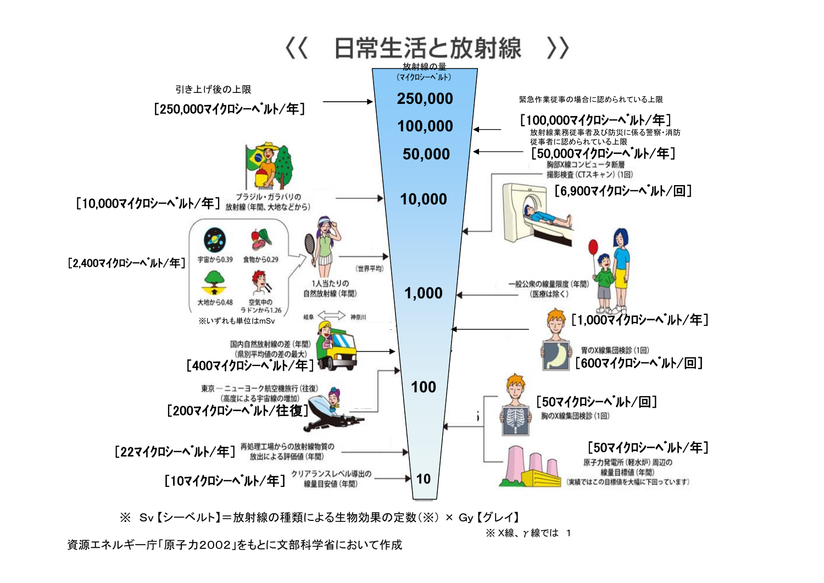

※ Sv 【シーベルト】=放射線の種類による生物効果の定数(※) × Gy 【グレイ】

※ X線、γ線では 1

資源エネルギー庁「原子力2002」をもとに文部科学省において作成